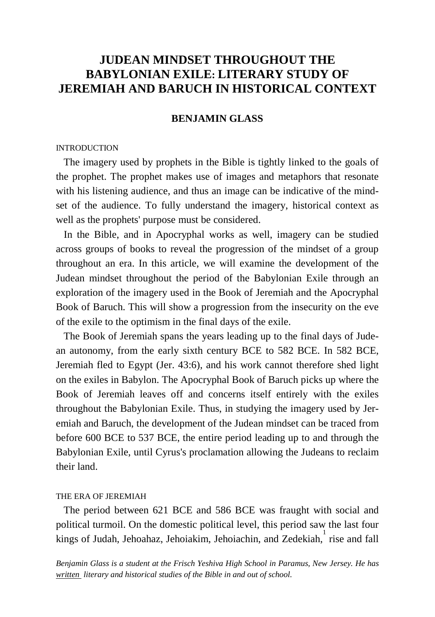# **JUDEAN MINDSET THROUGHOUT THE BABYLONIAN EXILE: LITERARY STUDY OF JEREMIAH AND BARUCH IN HISTORICAL CONTEXT**

## **BENJAMIN GLASS**

### **INTRODUCTION**

 The imagery used by prophets in the Bible is tightly linked to the goals of the prophet. The prophet makes use of images and metaphors that resonate with his listening audience, and thus an image can be indicative of the mindset of the audience. To fully understand the imagery, historical context as well as the prophets' purpose must be considered.

 In the Bible, and in Apocryphal works as well, imagery can be studied across groups of books to reveal the progression of the mindset of a group throughout an era. In this article, we will examine the development of the Judean mindset throughout the period of the Babylonian Exile through an exploration of the imagery used in the Book of Jeremiah and the Apocryphal Book of Baruch. This will show a progression from the insecurity on the eve of the exile to the optimism in the final days of the exile.

 The Book of Jeremiah spans the years leading up to the final days of Judean autonomy, from the early sixth century BCE to 582 BCE. In 582 BCE, Jeremiah fled to Egypt (Jer. 43:6), and his work cannot therefore shed light on the exiles in Babylon. The Apocryphal Book of Baruch picks up where the Book of Jeremiah leaves off and concerns itself entirely with the exiles throughout the Babylonian Exile. Thus, in studying the imagery used by Jeremiah and Baruch, the development of the Judean mindset can be traced from before 600 BCE to 537 BCE, the entire period leading up to and through the Babylonian Exile, until Cyrus's proclamation allowing the Judeans to reclaim their land.

#### THE ERA OF JEREMIAH

 The period between 621 BCE and 586 BCE was fraught with social and political turmoil. On the domestic political level, this period saw the last four kings of Judah, Jehoahaz, Jehoiakim, Jehoiachin, and Zedekiah, <sup>1</sup> rise and fall

*Benjamin Glass is a student at the Frisch Yeshiva High School in Paramus, New Jersey. He has written literary and historical studies of the Bible in and out of school.*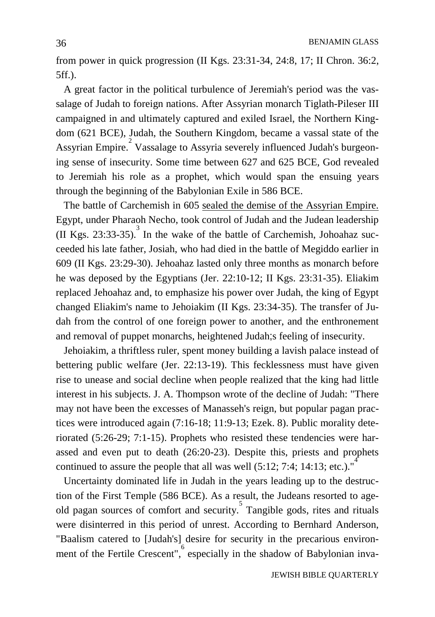from power in quick progression (II Kgs. 23:31-34, 24:8, 17; II Chron. 36:2, 5ff.).

 A great factor in the political turbulence of Jeremiah's period was the vassalage of Judah to foreign nations. After Assyrian monarch Tiglath-Pileser III campaigned in and ultimately captured and exiled Israel, the Northern Kingdom (621 BCE), Judah, the Southern Kingdom, became a vassal state of the Assyrian Empire.<sup>2</sup> Vassalage to Assyria severely influenced Judah's burgeoning sense of insecurity. Some time between 627 and 625 BCE, God revealed to Jeremiah his role as a prophet, which would span the ensuing years through the beginning of the Babylonian Exile in 586 BCE.

 The battle of Carchemish in 605 sealed the demise of the Assyrian Empire. Egypt, under Pharaoh Necho, took control of Judah and the Judean leadership (II Kgs. 23:33-35). 3 In the wake of the battle of Carchemish, Johoahaz succeeded his late father, Josiah, who had died in the battle of Megiddo earlier in 609 (II Kgs. 23:29-30). Jehoahaz lasted only three months as monarch before he was deposed by the Egyptians (Jer. 22:10-12; II Kgs. 23:31-35). Eliakim replaced Jehoahaz and, to emphasize his power over Judah, the king of Egypt changed Eliakim's name to Jehoiakim (II Kgs. 23:34-35). The transfer of Judah from the control of one foreign power to another, and the enthronement and removal of puppet monarchs, heightened Judah;s feeling of insecurity.

 Jehoiakim, a thriftless ruler, spent money building a lavish palace instead of bettering public welfare (Jer. 22:13-19). This fecklessness must have given rise to unease and social decline when people realized that the king had little interest in his subjects. J. A. Thompson wrote of the decline of Judah: "There may not have been the excesses of Manasseh's reign, but popular pagan practices were introduced again (7:16-18; 11:9-13; Ezek. 8). Public morality deteriorated (5:26-29; 7:1-15). Prophets who resisted these tendencies were harassed and even put to death (26:20-23). Despite this, priests and prophets continued to assure the people that all was well  $(5:12; 7:4; 14:13;$  etc.).<sup>4</sup>

 Uncertainty dominated life in Judah in the years leading up to the destruction of the First Temple (586 BCE). As a result, the Judeans resorted to ageold pagan sources of comfort and security.<sup>5</sup> Tangible gods, rites and rituals were disinterred in this period of unrest. According to Bernhard Anderson, "Baalism catered to [Judah's] desire for security in the precarious environment of the Fertile Crescent", especially in the shadow of Babylonian inva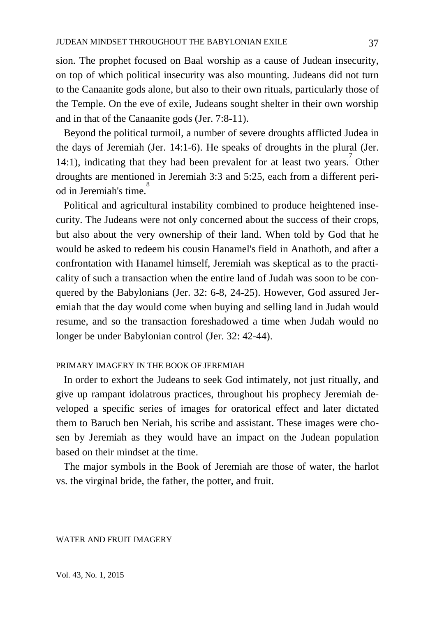sion. The prophet focused on Baal worship as a cause of Judean insecurity, on top of which political insecurity was also mounting. Judeans did not turn to the Canaanite gods alone, but also to their own rituals, particularly those of the Temple. On the eve of exile, Judeans sought shelter in their own worship and in that of the Canaanite gods (Jer. 7:8-11).

 Beyond the political turmoil, a number of severe droughts afflicted Judea in the days of Jeremiah (Jer. 14:1-6). He speaks of droughts in the plural (Jer. 14:1), indicating that they had been prevalent for at least two years. Other droughts are mentioned in Jeremiah 3:3 and 5:25, each from a different period in Jeremiah's time.

 Political and agricultural instability combined to produce heightened insecurity. The Judeans were not only concerned about the success of their crops, but also about the very ownership of their land. When told by God that he would be asked to redeem his cousin Hanamel's field in Anathoth, and after a confrontation with Hanamel himself, Jeremiah was skeptical as to the practicality of such a transaction when the entire land of Judah was soon to be conquered by the Babylonians (Jer. 32: 6-8, 24-25). However, God assured Jeremiah that the day would come when buying and selling land in Judah would resume, and so the transaction foreshadowed a time when Judah would no longer be under Babylonian control (Jer. 32: 42-44).

## PRIMARY IMAGERY IN THE BOOK OF JEREMIAH

 In order to exhort the Judeans to seek God intimately, not just ritually, and give up rampant idolatrous practices, throughout his prophecy Jeremiah developed a specific series of images for oratorical effect and later dictated them to Baruch ben Neriah, his scribe and assistant. These images were chosen by Jeremiah as they would have an impact on the Judean population based on their mindset at the time.

 The major symbols in the Book of Jeremiah are those of water, the harlot vs. the virginal bride, the father, the potter, and fruit.

#### WATER AND FRUIT IMAGERY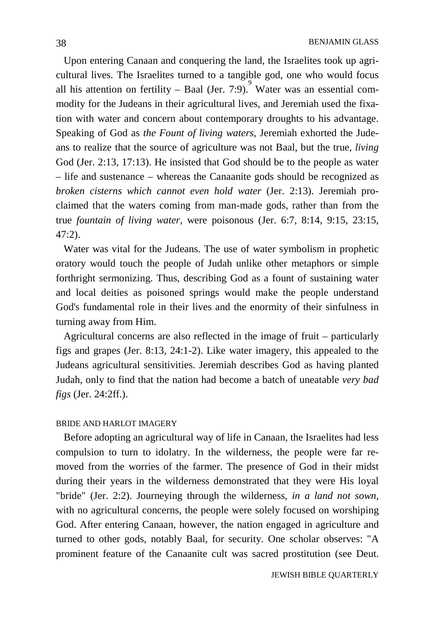Upon entering Canaan and conquering the land, the Israelites took up agricultural lives. The Israelites turned to a tangible god, one who would focus all his attention on fertility – Baal (Jer. 7:9). Water was an essential commodity for the Judeans in their agricultural lives, and Jeremiah used the fixation with water and concern about contemporary droughts to his advantage. Speaking of God as *the Fount of living waters*, Jeremiah exhorted the Judeans to realize that the source of agriculture was not Baal, but the true, *living* God (Jer. 2:13, 17:13). He insisted that God should be to the people as water – life and sustenance – whereas the Canaanite gods should be recognized as *broken cisterns which cannot even hold water* (Jer. 2:13). Jeremiah proclaimed that the waters coming from man-made gods, rather than from the true *fountain of living water*, were poisonous (Jer. 6:7, 8:14, 9:15, 23:15, 47:2).

 Water was vital for the Judeans. The use of water symbolism in prophetic oratory would touch the people of Judah unlike other metaphors or simple forthright sermonizing. Thus, describing God as a fount of sustaining water and local deities as poisoned springs would make the people understand God's fundamental role in their lives and the enormity of their sinfulness in turning away from Him.

 Agricultural concerns are also reflected in the image of fruit – particularly figs and grapes (Jer. 8:13, 24:1-2). Like water imagery, this appealed to the Judeans agricultural sensitivities. Jeremiah describes God as having planted Judah, only to find that the nation had become a batch of uneatable *very bad figs* (Jer. 24:2ff.).

#### BRIDE AND HARLOT IMAGERY

 Before adopting an agricultural way of life in Canaan, the Israelites had less compulsion to turn to idolatry. In the wilderness, the people were far removed from the worries of the farmer. The presence of God in their midst during their years in the wilderness demonstrated that they were His loyal "bride" (Jer. 2:2). Journeying through the wilderness, *in a land not sown*, with no agricultural concerns, the people were solely focused on worshiping God. After entering Canaan, however, the nation engaged in agriculture and turned to other gods, notably Baal, for security. One scholar observes: "A prominent feature of the Canaanite cult was sacred prostitution (see Deut.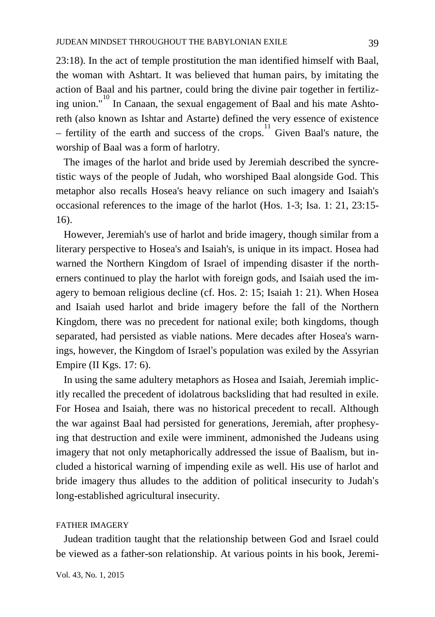23:18). In the act of temple prostitution the man identified himself with Baal, the woman with Ashtart. It was believed that human pairs, by imitating the action of Baal and his partner, could bring the divine pair together in fertilizing union."<sup>10</sup> In Canaan, the sexual engagement of Baal and his mate Ashtoreth (also known as Ishtar and Astarte) defined the very essence of existence – fertility of the earth and success of the crops.<sup>11</sup> Given Baal's nature, the worship of Baal was a form of harlotry.

 The images of the harlot and bride used by Jeremiah described the syncretistic ways of the people of Judah, who worshiped Baal alongside God. This metaphor also recalls Hosea's heavy reliance on such imagery and Isaiah's occasional references to the image of the harlot (Hos. 1-3; Isa. 1: 21, 23:15- 16).

 However, Jeremiah's use of harlot and bride imagery, though similar from a literary perspective to Hosea's and Isaiah's, is unique in its impact. Hosea had warned the Northern Kingdom of Israel of impending disaster if the northerners continued to play the harlot with foreign gods, and Isaiah used the imagery to bemoan religious decline (cf. Hos. 2: 15; Isaiah 1: 21). When Hosea and Isaiah used harlot and bride imagery before the fall of the Northern Kingdom, there was no precedent for national exile; both kingdoms, though separated, had persisted as viable nations. Mere decades after Hosea's warnings, however, the Kingdom of Israel's population was exiled by the Assyrian Empire (II Kgs. 17: 6).

 In using the same adultery metaphors as Hosea and Isaiah, Jeremiah implicitly recalled the precedent of idolatrous backsliding that had resulted in exile. For Hosea and Isaiah, there was no historical precedent to recall. Although the war against Baal had persisted for generations, Jeremiah, after prophesying that destruction and exile were imminent, admonished the Judeans using imagery that not only metaphorically addressed the issue of Baalism, but included a historical warning of impending exile as well. His use of harlot and bride imagery thus alludes to the addition of political insecurity to Judah's long-established agricultural insecurity.

### FATHER IMAGERY

 Judean tradition taught that the relationship between God and Israel could be viewed as a father-son relationship. At various points in his book, Jeremi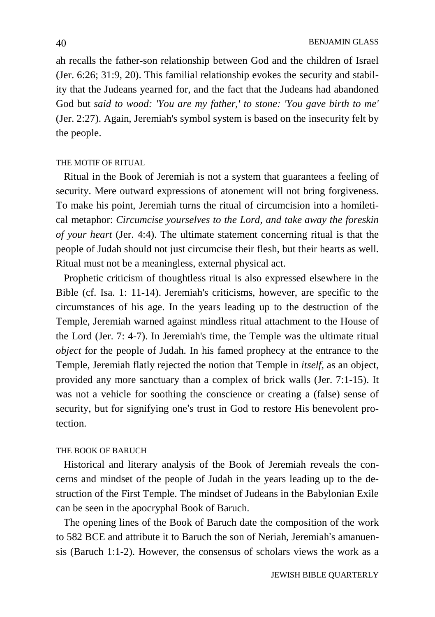ah recalls the father-son relationship between God and the children of Israel (Jer. 6:26; 31:9, 20). This familial relationship evokes the security and stability that the Judeans yearned for, and the fact that the Judeans had abandoned God but *said to wood: 'You are my father,' to stone: 'You gave birth to me'* (Jer. 2:27). Again, Jeremiah's symbol system is based on the insecurity felt by the people.

#### THE MOTIF OF RITUAL

 Ritual in the Book of Jeremiah is not a system that guarantees a feeling of security. Mere outward expressions of atonement will not bring forgiveness. To make his point, Jeremiah turns the ritual of circumcision into a homiletical metaphor: *Circumcise yourselves to the Lord, and take away the foreskin of your heart* (Jer. 4:4). The ultimate statement concerning ritual is that the people of Judah should not just circumcise their flesh, but their hearts as well. Ritual must not be a meaningless, external physical act.

 Prophetic criticism of thoughtless ritual is also expressed elsewhere in the Bible (cf. Isa. 1: 11-14). Jeremiah's criticisms, however, are specific to the circumstances of his age. In the years leading up to the destruction of the Temple, Jeremiah warned against mindless ritual attachment to the House of the Lord (Jer. 7: 4-7). In Jeremiah's time, the Temple was the ultimate ritual *object* for the people of Judah. In his famed prophecy at the entrance to the Temple, Jeremiah flatly rejected the notion that Temple in *itself*, as an object, provided any more sanctuary than a complex of brick walls (Jer. 7:1-15). It was not a vehicle for soothing the conscience or creating a (false) sense of security, but for signifying one's trust in God to restore His benevolent protection.

## THE BOOK OF BARUCH

 Historical and literary analysis of the Book of Jeremiah reveals the concerns and mindset of the people of Judah in the years leading up to the destruction of the First Temple. The mindset of Judeans in the Babylonian Exile can be seen in the apocryphal Book of Baruch.

 The opening lines of the Book of Baruch date the composition of the work to 582 BCE and attribute it to Baruch the son of Neriah, Jeremiah's amanuensis (Baruch 1:1-2). However, the consensus of scholars views the work as a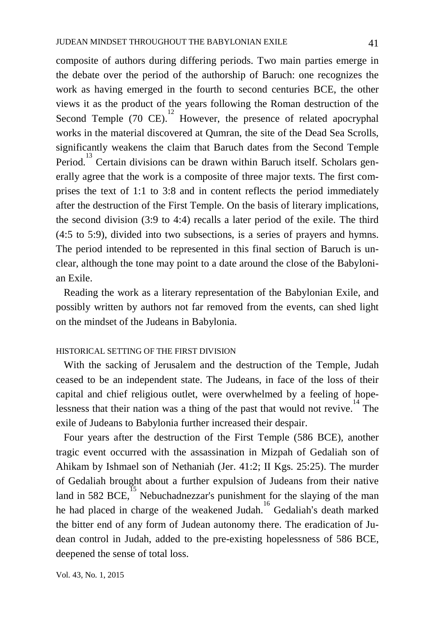composite of authors during differing periods. Two main parties emerge in the debate over the period of the authorship of Baruch: one recognizes the work as having emerged in the fourth to second centuries BCE, the other views it as the product of the years following the Roman destruction of the Second Temple  $(70 \text{ CE})$ . However, the presence of related apocryphal works in the material discovered at Qumran, the site of the Dead Sea Scrolls, significantly weakens the claim that Baruch dates from the Second Temple Period.<sup>13</sup> Certain divisions can be drawn within Baruch itself. Scholars generally agree that the work is a composite of three major texts. The first comprises the text of 1:1 to 3:8 and in content reflects the period immediately after the destruction of the First Temple. On the basis of literary implications, the second division (3:9 to 4:4) recalls a later period of the exile. The third (4:5 to 5:9), divided into two subsections, is a series of prayers and hymns. The period intended to be represented in this final section of Baruch is unclear, although the tone may point to a date around the close of the Babylonian Exile.

 Reading the work as a literary representation of the Babylonian Exile, and possibly written by authors not far removed from the events, can shed light on the mindset of the Judeans in Babylonia.

## HISTORICAL SETTING OF THE FIRST DIVISION

 With the sacking of Jerusalem and the destruction of the Temple, Judah ceased to be an independent state. The Judeans, in face of the loss of their capital and chief religious outlet, were overwhelmed by a feeling of hopelessness that their nation was a thing of the past that would not revive.<sup>14</sup> The exile of Judeans to Babylonia further increased their despair.

 Four years after the destruction of the First Temple (586 BCE), another tragic event occurred with the assassination in Mizpah of Gedaliah son of Ahikam by Ishmael son of Nethaniah (Jer. 41:2; II Kgs. 25:25). The murder of Gedaliah brought about a further expulsion of Judeans from their native land in 582 BCE, $^{15}$  Nebuchadnezzar's punishment for the slaying of the man he had placed in charge of the weakened Judah.<sup>16</sup> Gedaliah's death marked the bitter end of any form of Judean autonomy there. The eradication of Judean control in Judah, added to the pre-existing hopelessness of 586 BCE, deepened the sense of total loss.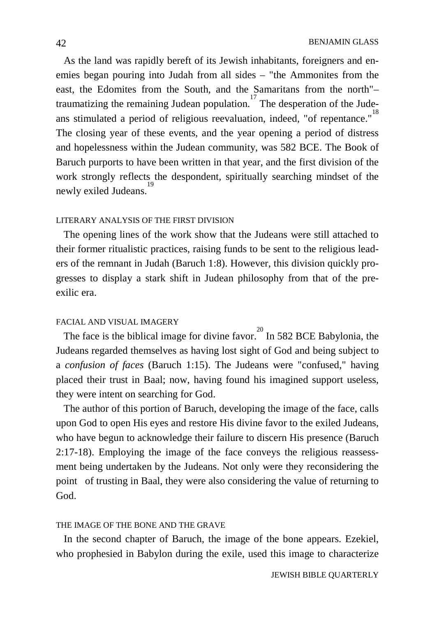As the land was rapidly bereft of its Jewish inhabitants, foreigners and enemies began pouring into Judah from all sides – "the Ammonites from the east, the Edomites from the South, and the Samaritans from the north"– traumatizing the remaining Judean population.<sup>17</sup> The desperation of the Judeans stimulated a period of religious reevaluation, indeed, "of repentance." The closing year of these events, and the year opening a period of distress and hopelessness within the Judean community, was 582 BCE. The Book of Baruch purports to have been written in that year, and the first division of the work strongly reflects the despondent, spiritually searching mindset of the newly exiled Judeans. 19

#### LITERARY ANALYSIS OF THE FIRST DIVISION

 The opening lines of the work show that the Judeans were still attached to their former ritualistic practices, raising funds to be sent to the religious leaders of the remnant in Judah (Baruch 1:8). However, this division quickly progresses to display a stark shift in Judean philosophy from that of the preexilic era.

## FACIAL AND VISUAL IMAGERY

The face is the biblical image for divine favor.  $\frac{20}{20}$  In 582 BCE Babylonia, the Judeans regarded themselves as having lost sight of God and being subject to a *confusion of faces* (Baruch 1:15). The Judeans were "confused," having placed their trust in Baal; now, having found his imagined support useless, they were intent on searching for God.

 The author of this portion of Baruch, developing the image of the face, calls upon God to open His eyes and restore His divine favor to the exiled Judeans, who have begun to acknowledge their failure to discern His presence (Baruch 2:17-18). Employing the image of the face conveys the religious reassessment being undertaken by the Judeans. Not only were they reconsidering the point of trusting in Baal, they were also considering the value of returning to God.

### THE IMAGE OF THE BONE AND THE GRAVE

In the second chapter of Baruch, the image of the bone appears. Ezekiel, who prophesied in Babylon during the exile, used this image to characterize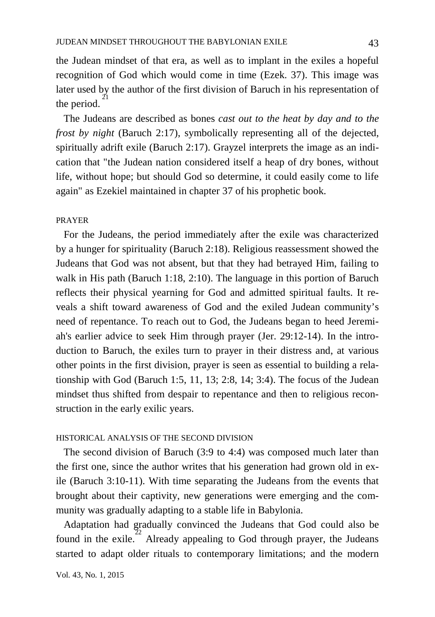the Judean mindset of that era, as well as to implant in the exiles a hopeful recognition of God which would come in time (Ezek. 37). This image was later used by the author of the first division of Baruch in his representation of the period.

 The Judeans are described as bones *cast out to the heat by day and to the frost by night* (Baruch 2:17), symbolically representing all of the dejected, spiritually adrift exile (Baruch 2:17). Grayzel interprets the image as an indication that "the Judean nation considered itself a heap of dry bones, without life, without hope; but should God so determine, it could easily come to life again" as Ezekiel maintained in chapter 37 of his prophetic book.

#### PRAYER

 For the Judeans, the period immediately after the exile was characterized by a hunger for spirituality (Baruch 2:18). Religious reassessment showed the Judeans that God was not absent, but that they had betrayed Him, failing to walk in His path (Baruch 1:18, 2:10). The language in this portion of Baruch reflects their physical yearning for God and admitted spiritual faults. It reveals a shift toward awareness of God and the exiled Judean community's need of repentance. To reach out to God, the Judeans began to heed Jeremiah's earlier advice to seek Him through prayer (Jer. 29:12-14). In the introduction to Baruch, the exiles turn to prayer in their distress and, at various other points in the first division, prayer is seen as essential to building a relationship with God (Baruch 1:5, 11, 13; 2:8, 14; 3:4). The focus of the Judean mindset thus shifted from despair to repentance and then to religious reconstruction in the early exilic years.

### HISTORICAL ANALYSIS OF THE SECOND DIVISION

 The second division of Baruch (3:9 to 4:4) was composed much later than the first one, since the author writes that his generation had grown old in exile (Baruch 3:10-11). With time separating the Judeans from the events that brought about their captivity, new generations were emerging and the community was gradually adapting to a stable life in Babylonia.

 Adaptation had gradually convinced the Judeans that God could also be found in the exile.<sup>22</sup> Already appealing to God through prayer, the Judeans started to adapt older rituals to contemporary limitations; and the modern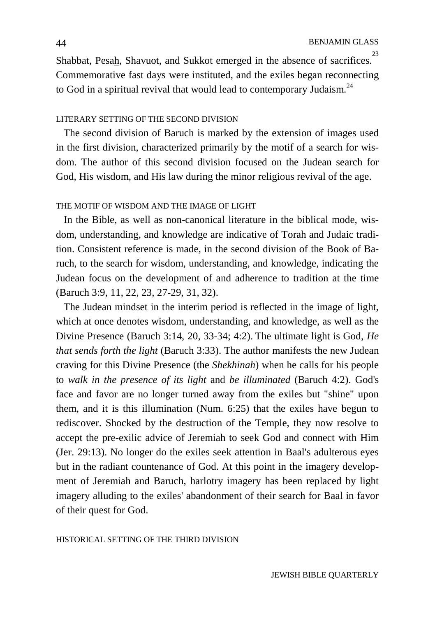Shabbat, Pesah, Shavuot, and Sukkot emerged in the absence of sacrifices.<sup>2</sup> Commemorative fast days were instituted, and the exiles began reconnecting to God in a spiritual revival that would lead to contemporary Judaism.<sup>24</sup>

#### LITERARY SETTING OF THE SECOND DIVISION

 The second division of Baruch is marked by the extension of images used in the first division, characterized primarily by the motif of a search for wisdom. The author of this second division focused on the Judean search for God, His wisdom, and His law during the minor religious revival of the age.

#### THE MOTIF OF WISDOM AND THE IMAGE OF LIGHT

 In the Bible, as well as non-canonical literature in the biblical mode, wisdom, understanding, and knowledge are indicative of Torah and Judaic tradition. Consistent reference is made, in the second division of the Book of Baruch, to the search for wisdom, understanding, and knowledge, indicating the Judean focus on the development of and adherence to tradition at the time (Baruch 3:9, 11, 22, 23, 27-29, 31, 32).

 The Judean mindset in the interim period is reflected in the image of light, which at once denotes wisdom, understanding, and knowledge, as well as the Divine Presence (Baruch 3:14, 20, 33-34; 4:2). The ultimate light is God, *He that sends forth the light* (Baruch 3:33). The author manifests the new Judean craving for this Divine Presence (the *Shekhinah*) when he calls for his people to *walk in the presence of its light* and *be illuminated* (Baruch 4:2). God's face and favor are no longer turned away from the exiles but "shine" upon them, and it is this illumination (Num. 6:25) that the exiles have begun to rediscover. Shocked by the destruction of the Temple, they now resolve to accept the pre-exilic advice of Jeremiah to seek God and connect with Him (Jer. 29:13). No longer do the exiles seek attention in Baal's adulterous eyes but in the radiant countenance of God. At this point in the imagery development of Jeremiah and Baruch, harlotry imagery has been replaced by light imagery alluding to the exiles' abandonment of their search for Baal in favor of their quest for God.

#### HISTORICAL SETTING OF THE THIRD DIVISION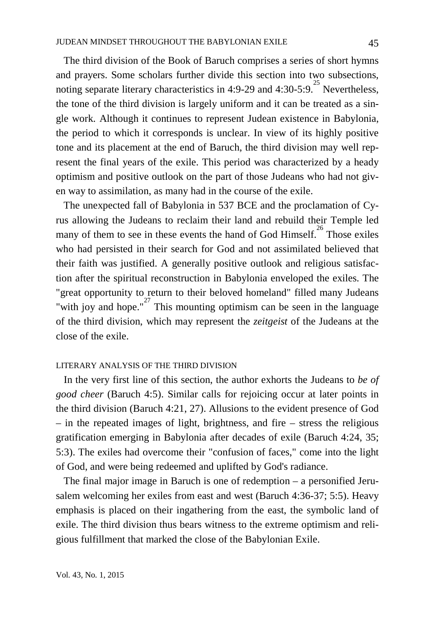The third division of the Book of Baruch comprises a series of short hymns and prayers. Some scholars further divide this section into two subsections, noting separate literary characteristics in 4:9-29 and 4:30-5:9.<sup>25</sup> Nevertheless, the tone of the third division is largely uniform and it can be treated as a single work. Although it continues to represent Judean existence in Babylonia, the period to which it corresponds is unclear. In view of its highly positive tone and its placement at the end of Baruch, the third division may well represent the final years of the exile. This period was characterized by a heady optimism and positive outlook on the part of those Judeans who had not given way to assimilation, as many had in the course of the exile.

 The unexpected fall of Babylonia in 537 BCE and the proclamation of Cyrus allowing the Judeans to reclaim their land and rebuild their Temple led many of them to see in these events the hand of God Himself.<sup>26</sup> Those exiles who had persisted in their search for God and not assimilated believed that their faith was justified. A generally positive outlook and religious satisfaction after the spiritual reconstruction in Babylonia enveloped the exiles. The "great opportunity to return to their beloved homeland" filled many Judeans with joy and hope."<sup>27</sup> This mounting optimism can be seen in the language of the third division, which may represent the *zeitgeist* of the Judeans at the close of the exile.

### LITERARY ANALYSIS OF THE THIRD DIVISION

 In the very first line of this section, the author exhorts the Judeans to *be of good cheer* (Baruch 4:5). Similar calls for rejoicing occur at later points in the third division (Baruch 4:21, 27). Allusions to the evident presence of God – in the repeated images of light, brightness, and fire – stress the religious gratification emerging in Babylonia after decades of exile (Baruch 4:24, 35; 5:3). The exiles had overcome their "confusion of faces," come into the light of God, and were being redeemed and uplifted by God's radiance.

 The final major image in Baruch is one of redemption – a personified Jerusalem welcoming her exiles from east and west (Baruch 4:36-37; 5:5). Heavy emphasis is placed on their ingathering from the east, the symbolic land of exile. The third division thus bears witness to the extreme optimism and religious fulfillment that marked the close of the Babylonian Exile.